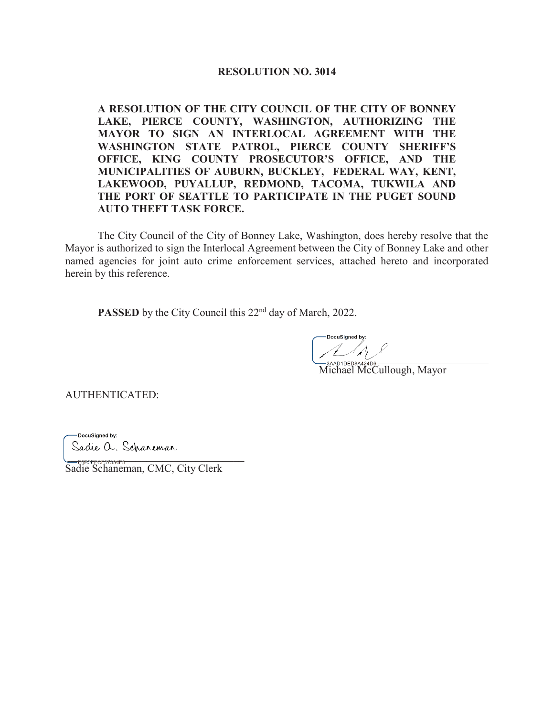### **RESOLUTION NO. 3014**

**A RESOLUTION OF THE CITY COUNCIL OF THE CITY OF BONNEY** LAKE, PIERCE COUNTY, WASHINGTON, AUTHORIZING THE MAYOR TO SIGN AN INTERLOCAL AGREEMENT WITH THE WASHINGTON STATE PATROL, PIERCE COUNTY SHERIFF'S OFFICE, KING COUNTY PROSECUTOR'S OFFICE, AND THE MUNICIPALITIES OF AUBURN, BUCKLEY, FEDERAL WAY, KENT, LAKEWOOD, PUYALLUP, REDMOND, TACOMA, TUKWILA AND THE PORT OF SEATTLE TO PARTICIPATE IN THE PUGET SOUND **AUTO THEFT TASK FORCE.** 

The City Council of the City of Bonney Lake, Washington, does hereby resolve that the Mayor is authorized to sign the Interlocal Agreement between the City of Bonney Lake and other named agencies for joint auto crime enforcement services, attached hereto and incorporated herein by this reference.

**PASSED** by the City Council this 22<sup>nd</sup> day of March, 2022.

 $\frac{1}{2}$ 

Michael McCullough, Mayor

AUTHENTICATED:

-DocuSigned by: Sadie a. Scharemar

-E0B5EFCF37394F8... Sadie Schaneman, CMC, City Clerk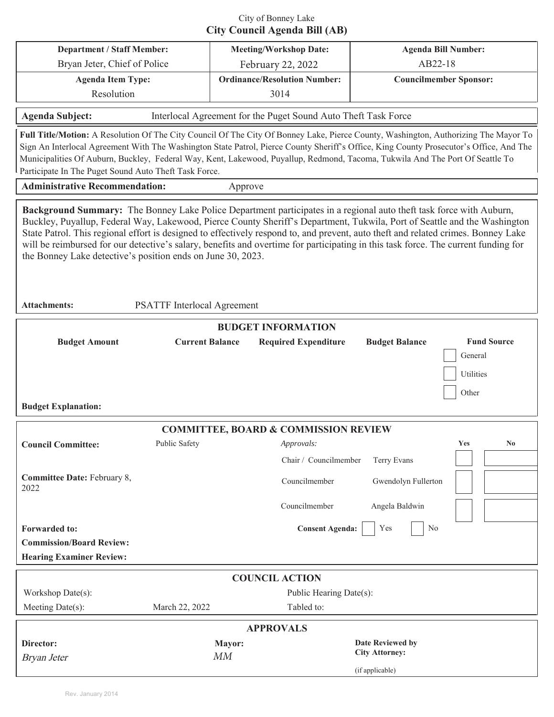# City of Bonney Lake **City Council Agenda Bill (AB)**

| <b>Department / Staff Member:</b>                                                                                                                                                                                                                                                                                                                                                                                                                                                                                                                                                                                                                       |                              |         | <b>Meeting/Workshop Date:</b>                                  | <b>Agenda Bill Number:</b>                |                                                     |  |  |
|---------------------------------------------------------------------------------------------------------------------------------------------------------------------------------------------------------------------------------------------------------------------------------------------------------------------------------------------------------------------------------------------------------------------------------------------------------------------------------------------------------------------------------------------------------------------------------------------------------------------------------------------------------|------------------------------|---------|----------------------------------------------------------------|-------------------------------------------|-----------------------------------------------------|--|--|
|                                                                                                                                                                                                                                                                                                                                                                                                                                                                                                                                                                                                                                                         | Bryan Jeter, Chief of Police |         | February 22, 2022                                              | AB22-18                                   |                                                     |  |  |
| <b>Agenda Item Type:</b>                                                                                                                                                                                                                                                                                                                                                                                                                                                                                                                                                                                                                                |                              |         | <b>Ordinance/Resolution Number:</b>                            | <b>Councilmember Sponsor:</b>             |                                                     |  |  |
| Resolution                                                                                                                                                                                                                                                                                                                                                                                                                                                                                                                                                                                                                                              |                              |         | 3014                                                           |                                           |                                                     |  |  |
| <b>Agenda Subject:</b>                                                                                                                                                                                                                                                                                                                                                                                                                                                                                                                                                                                                                                  |                              |         | Interlocal Agreement for the Puget Sound Auto Theft Task Force |                                           |                                                     |  |  |
| Full Title/Motion: A Resolution Of The City Council Of The City Of Bonney Lake, Pierce County, Washington, Authorizing The Mayor To<br>Sign An Interlocal Agreement With The Washington State Patrol, Pierce County Sheriff's Office, King County Prosecutor's Office, And The<br>Municipalities Of Auburn, Buckley, Federal Way, Kent, Lakewood, Puyallup, Redmond, Tacoma, Tukwila And The Port Of Seattle To<br>Participate In The Puget Sound Auto Theft Task Force.                                                                                                                                                                                |                              |         |                                                                |                                           |                                                     |  |  |
| <b>Administrative Recommendation:</b>                                                                                                                                                                                                                                                                                                                                                                                                                                                                                                                                                                                                                   |                              | Approve |                                                                |                                           |                                                     |  |  |
| Background Summary: The Bonney Lake Police Department participates in a regional auto theft task force with Auburn,<br>Buckley, Puyallup, Federal Way, Lakewood, Pierce County Sheriff's Department, Tukwila, Port of Seattle and the Washington<br>State Patrol. This regional effort is designed to effectively respond to, and prevent, auto theft and related crimes. Bonney Lake<br>will be reimbursed for our detective's salary, benefits and overtime for participating in this task force. The current funding for<br>the Bonney Lake detective's position ends on June 30, 2023.<br><b>Attachments:</b><br><b>PSATTF</b> Interlocal Agreement |                              |         |                                                                |                                           |                                                     |  |  |
|                                                                                                                                                                                                                                                                                                                                                                                                                                                                                                                                                                                                                                                         |                              |         | <b>BUDGET INFORMATION</b>                                      |                                           |                                                     |  |  |
| <b>Budget Amount</b><br><b>Budget Explanation:</b>                                                                                                                                                                                                                                                                                                                                                                                                                                                                                                                                                                                                      | <b>Current Balance</b>       |         | <b>Required Expenditure</b>                                    | <b>Budget Balance</b>                     | <b>Fund Source</b><br>General<br>Utilities<br>Other |  |  |
|                                                                                                                                                                                                                                                                                                                                                                                                                                                                                                                                                                                                                                                         |                              |         | <b>COMMITTEE, BOARD &amp; COMMISSION REVIEW</b>                |                                           |                                                     |  |  |
| <b>Council Committee:</b>                                                                                                                                                                                                                                                                                                                                                                                                                                                                                                                                                                                                                               | Public Safety                |         | <i>Approvals:</i>                                              |                                           | Yes<br>N <sub>0</sub>                               |  |  |
|                                                                                                                                                                                                                                                                                                                                                                                                                                                                                                                                                                                                                                                         |                              |         | Chair / Councilmember                                          | Terry Evans                               |                                                     |  |  |
| Committee Date: February 8,<br>2022                                                                                                                                                                                                                                                                                                                                                                                                                                                                                                                                                                                                                     |                              |         | Councilmember                                                  | Gwendolyn Fullerton                       |                                                     |  |  |
|                                                                                                                                                                                                                                                                                                                                                                                                                                                                                                                                                                                                                                                         |                              |         | Councilmember                                                  | Angela Baldwin                            |                                                     |  |  |
| <b>Forwarded to:</b>                                                                                                                                                                                                                                                                                                                                                                                                                                                                                                                                                                                                                                    |                              |         | <b>Consent Agenda:</b>                                         | Yes<br>No                                 |                                                     |  |  |
| <b>Commission/Board Review:</b>                                                                                                                                                                                                                                                                                                                                                                                                                                                                                                                                                                                                                         |                              |         |                                                                |                                           |                                                     |  |  |
| <b>Hearing Examiner Review:</b>                                                                                                                                                                                                                                                                                                                                                                                                                                                                                                                                                                                                                         |                              |         |                                                                |                                           |                                                     |  |  |
|                                                                                                                                                                                                                                                                                                                                                                                                                                                                                                                                                                                                                                                         |                              |         |                                                                |                                           |                                                     |  |  |
| <b>COUNCIL ACTION</b>                                                                                                                                                                                                                                                                                                                                                                                                                                                                                                                                                                                                                                   |                              |         |                                                                |                                           |                                                     |  |  |
| Workshop Date(s):                                                                                                                                                                                                                                                                                                                                                                                                                                                                                                                                                                                                                                       |                              |         | Public Hearing Date(s):                                        |                                           |                                                     |  |  |
| Meeting Date(s):                                                                                                                                                                                                                                                                                                                                                                                                                                                                                                                                                                                                                                        | March 22, 2022               |         | Tabled to:                                                     |                                           |                                                     |  |  |
| <b>APPROVALS</b>                                                                                                                                                                                                                                                                                                                                                                                                                                                                                                                                                                                                                                        |                              |         |                                                                |                                           |                                                     |  |  |
| Director:                                                                                                                                                                                                                                                                                                                                                                                                                                                                                                                                                                                                                                               |                              | Mayor:  |                                                                | Date Reviewed by<br><b>City Attorney:</b> |                                                     |  |  |
| Bryan Jeter                                                                                                                                                                                                                                                                                                                                                                                                                                                                                                                                                                                                                                             |                              | MM      |                                                                | (if applicable)                           |                                                     |  |  |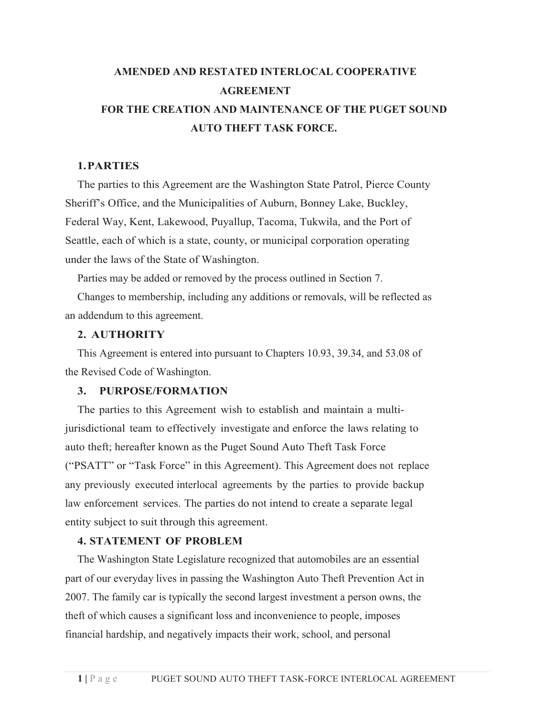# **AMENDED AND RESTATED INTERLOCAL COOPERATIVE AGREEMENT FOR THE CREATION AND MAINTENANCE OF THE PUGET SOUND AUTO THEFT TASK FORCE.**

# **1.PARTIES**

The parties to this Agreement are the Washington State Patrol, Pierce County Sheriff's Office, and the Municipalities of Auburn, Bonney Lake, Buckley, Federal Way, Kent, Lakewood, Puyallup, Tacoma, Tukwila, and the Port of Seattle, each of which is a state, county, or municipal corporation operating under the laws of the State of Washington.

Parties may be added or removed by the process outlined in Section 7.

Changes to membership, including any additions or removals, will be reflected as an addendum to this agreement.

# **2. AUTHORITY**

This Agreement is entered into pursuant to Chapters 10.93, 39.34, and 53.08 of the Revised Code of Washington.

# **3. PURPOSE/FORMATION**

The parties to this Agreement wish to establish and maintain a multijurisdictional team to effectively investigate and enforce the laws relating to auto theft; hereafter known as the Puget Sound Auto Theft Task Force ("PSATT" or "Task Force" in this Agreement). This Agreement does not replace any previously executed interlocal agreements by the parties to provide backup law enforcement services. The parties do not intend to create a separate legal entity subject to suit through this agreement.

# **4. STATEMENT OF PROBLEM**

The Washington State Legislature recognized that automobiles are an essential part of our everyday lives in passing the Washington Auto Theft Prevention Act in 2007. The family car is typically the second largest investment a person owns, the theft of which causes a significant loss and inconvenience to people, imposes financial hardship, and negatively impacts their work, school, and personal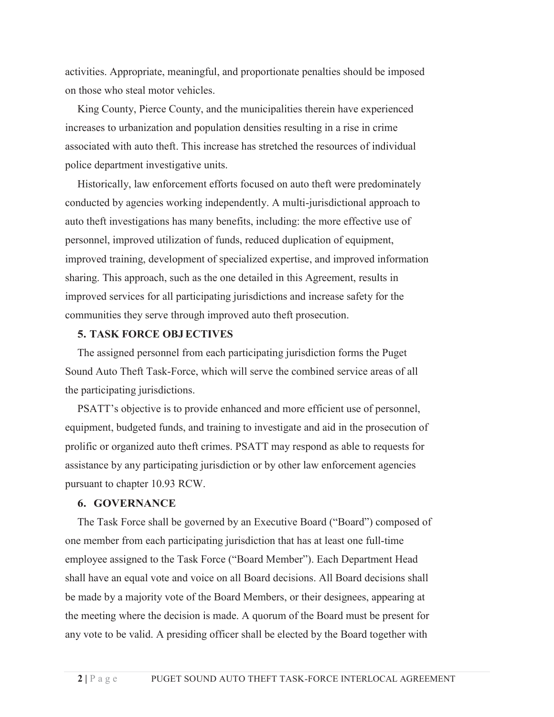activities. Appropriate, meaningful, and proportionate penalties should be imposed on those who steal motor vehicles.

King County, Pierce County, and the municipalities therein have experienced increases to urbanization and population densities resulting in a rise in crime associated with auto theft. This increase has stretched the resources of individual police department investigative units.

Historically, law enforcement efforts focused on auto theft were predominately conducted by agencies working independently. A multi-jurisdictional approach to auto theft investigations has many benefits, including: the more effective use of personnel, improved utilization of funds, reduced duplication of equipment, improved training, development of specialized expertise, and improved information sharing. This approach, such as the one detailed in this Agreement, results in improved services for all participating jurisdictions and increase safety for the communities they serve through improved auto theft prosecution.

## **5. TASK FORCE OBJ ECTIVES**

The assigned personnel from each participating jurisdiction forms the Puget Sound Auto Theft Task-Force, which will serve the combined service areas of all the participating jurisdictions.

PSATT's objective is to provide enhanced and more efficient use of personnel, equipment, budgeted funds, and training to investigate and aid in the prosecution of prolific or organized auto theft crimes. PSATT may respond as able to requests for assistance by any participating jurisdiction or by other law enforcement agencies pursuant to chapter 10.93 RCW.

## **6. GOVERNANCE**

The Task Force shall be governed by an Executive Board ("Board") composed of one member from each participating jurisdiction that has at least one full-time employee assigned to the Task Force ("Board Member"). Each Department Head shall have an equal vote and voice on all Board decisions. All Board decisions shall be made by a majority vote of the Board Members, or their designees, appearing at the meeting where the decision is made. A quorum of the Board must be present for any vote to be valid. A presiding officer shall be elected by the Board together with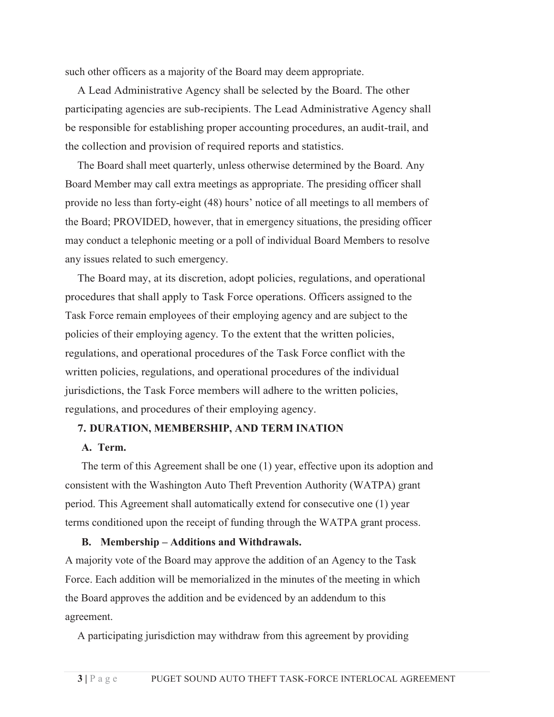such other officers as a majority of the Board may deem appropriate.

A Lead Administrative Agency shall be selected by the Board. The other participating agencies are sub-recipients. The Lead Administrative Agency shall be responsible for establishing proper accounting procedures, an audit-trail, and the collection and provision of required reports and statistics.

The Board shall meet quarterly, unless otherwise determined by the Board. Any Board Member may call extra meetings as appropriate. The presiding officer shall provide no less than forty-eight (48) hours' notice of all meetings to all members of the Board; PROVIDED, however, that in emergency situations, the presiding officer may conduct a telephonic meeting or a poll of individual Board Members to resolve any issues related to such emergency.

The Board may, at its discretion, adopt policies, regulations, and operational procedures that shall apply to Task Force operations. Officers assigned to the Task Force remain employees of their employing agency and are subject to the policies of their employing agency. To the extent that the written policies, regulations, and operational procedures of the Task Force conflict with the written policies, regulations, and operational procedures of the individual jurisdictions, the Task Force members will adhere to the written policies, regulations, and procedures of their employing agency.

## **7. DURATION, MEMBERSHIP, AND TERM INATION**

### **A. Term.**

The term of this Agreement shall be one (1) year, effective upon its adoption and consistent with the Washington Auto Theft Prevention Authority (WATPA) grant period. This Agreement shall automatically extend for consecutive one (1) year terms conditioned upon the receipt of funding through the WATPA grant process.

#### **B. Membership – Additions and Withdrawals.**

A majority vote of the Board may approve the addition of an Agency to the Task Force. Each addition will be memorialized in the minutes of the meeting in which the Board approves the addition and be evidenced by an addendum to this agreement.

A participating jurisdiction may withdraw from this agreement by providing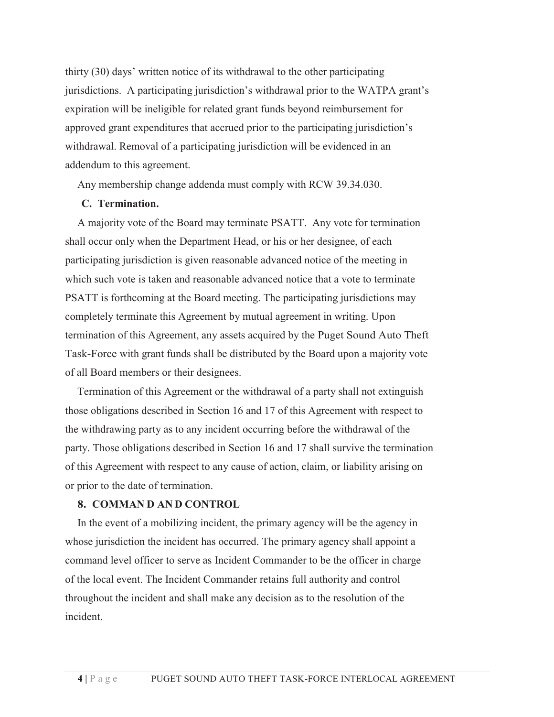thirty (30) days' written notice of its withdrawal to the other participating jurisdictions. A participating jurisdiction's withdrawal prior to the WATPA grant's expiration will be ineligible for related grant funds beyond reimbursement for approved grant expenditures that accrued prior to the participating jurisdiction's withdrawal. Removal of a participating jurisdiction will be evidenced in an addendum to this agreement.

Any membership change addenda must comply with RCW 39.34.030.

### **C. Termination.**

A majority vote of the Board may terminate PSATT. Any vote for termination shall occur only when the Department Head, or his or her designee, of each participating jurisdiction is given reasonable advanced notice of the meeting in which such vote is taken and reasonable advanced notice that a vote to terminate PSATT is forthcoming at the Board meeting. The participating jurisdictions may completely terminate this Agreement by mutual agreement in writing. Upon termination of this Agreement, any assets acquired by the Puget Sound Auto Theft Task-Force with grant funds shall be distributed by the Board upon a majority vote of all Board members or their designees.

Termination of this Agreement or the withdrawal of a party shall not extinguish those obligations described in Section 16 and 17 of this Agreement with respect to the withdrawing party as to any incident occurring before the withdrawal of the party. Those obligations described in Section 16 and 17 shall survive the termination of this Agreement with respect to any cause of action, claim, or liability arising on or prior to the date of termination.

#### **8. COMMAN D AN D CONTROL**

In the event of a mobilizing incident, the primary agency will be the agency in whose jurisdiction the incident has occurred. The primary agency shall appoint a command level officer to serve as Incident Commander to be the officer in charge of the local event. The Incident Commander retains full authority and control throughout the incident and shall make any decision as to the resolution of the incident.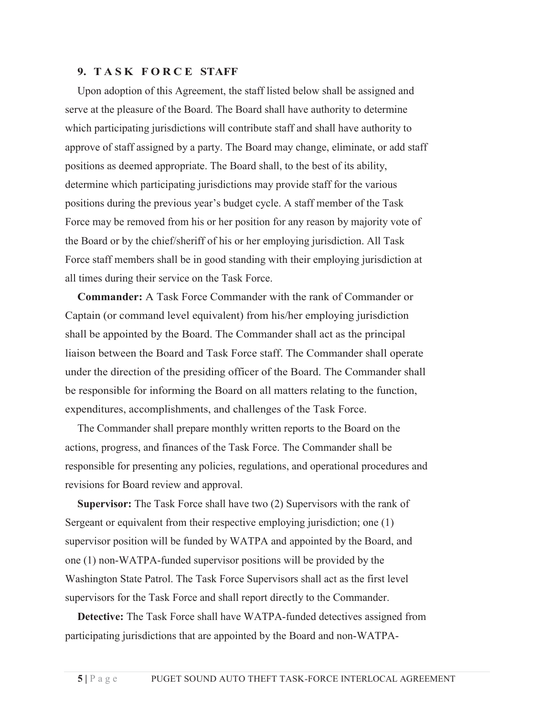# **9. T A S K F O R C E STAFF**

Upon adoption of this Agreement, the staff listed below shall be assigned and serve at the pleasure of the Board. The Board shall have authority to determine which participating jurisdictions will contribute staff and shall have authority to approve of staff assigned by a party. The Board may change, eliminate, or add staff positions as deemed appropriate. The Board shall, to the best of its ability, determine which participating jurisdictions may provide staff for the various positions during the previous year's budget cycle. A staff member of the Task Force may be removed from his or her position for any reason by majority vote of the Board or by the chief/sheriff of his or her employing jurisdiction. All Task Force staff members shall be in good standing with their employing jurisdiction at all times during their service on the Task Force.

**Commander:** A Task Force Commander with the rank of Commander or Captain (or command level equivalent) from his/her employing jurisdiction shall be appointed by the Board. The Commander shall act as the principal liaison between the Board and Task Force staff. The Commander shall operate under the direction of the presiding officer of the Board. The Commander shall be responsible for informing the Board on all matters relating to the function, expenditures, accomplishments, and challenges of the Task Force.

The Commander shall prepare monthly written reports to the Board on the actions, progress, and finances of the Task Force. The Commander shall be responsible for presenting any policies, regulations, and operational procedures and revisions for Board review and approval.

**Supervisor:** The Task Force shall have two (2) Supervisors with the rank of Sergeant or equivalent from their respective employing jurisdiction; one (1) supervisor position will be funded by WATPA and appointed by the Board, and one (1) non-WATPA-funded supervisor positions will be provided by the Washington State Patrol. The Task Force Supervisors shall act as the first level supervisors for the Task Force and shall report directly to the Commander.

**Detective:** The Task Force shall have WATPA-funded detectives assigned from participating jurisdictions that are appointed by the Board and non-WATPA-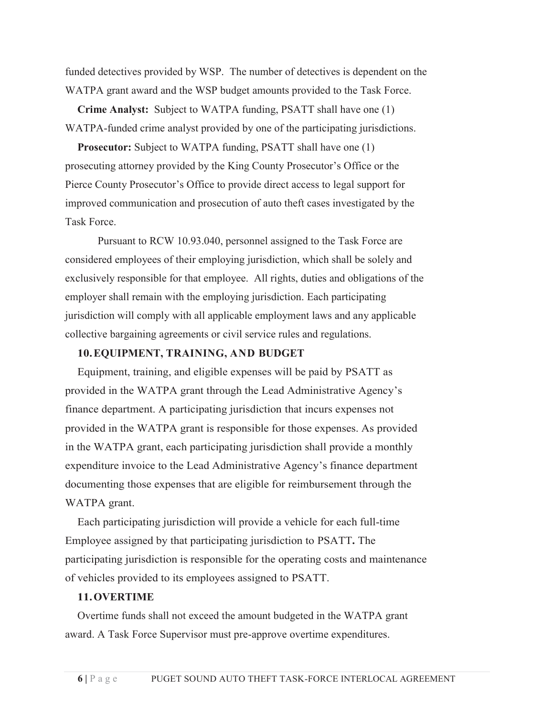funded detectives provided by WSP. The number of detectives is dependent on the WATPA grant award and the WSP budget amounts provided to the Task Force.

**Crime Analyst:** Subject to WATPA funding, PSATT shall have one (1) WATPA-funded crime analyst provided by one of the participating jurisdictions.

**Prosecutor:** Subject to WATPA funding, PSATT shall have one (1) prosecuting attorney provided by the King County Prosecutor's Office or the Pierce County Prosecutor's Office to provide direct access to legal support for improved communication and prosecution of auto theft cases investigated by the Task Force.

Pursuant to RCW 10.93.040, personnel assigned to the Task Force are considered employees of their employing jurisdiction, which shall be solely and exclusively responsible for that employee. All rights, duties and obligations of the employer shall remain with the employing jurisdiction. Each participating jurisdiction will comply with all applicable employment laws and any applicable collective bargaining agreements or civil service rules and regulations.

# **10.EQUIPMENT, TRAINING, AND BUDGET**

Equipment, training, and eligible expenses will be paid by PSATT as provided in the WATPA grant through the Lead Administrative Agency's finance department. A participating jurisdiction that incurs expenses not provided in the WATPA grant is responsible for those expenses. As provided in the WATPA grant, each participating jurisdiction shall provide a monthly expenditure invoice to the Lead Administrative Agency's finance department documenting those expenses that are eligible for reimbursement through the WATPA grant.

Each participating jurisdiction will provide a vehicle for each full-time Employee assigned by that participating jurisdiction to PSATT**.** The participating jurisdiction is responsible for the operating costs and maintenance of vehicles provided to its employees assigned to PSATT.

#### **11.OVERTIME**

Overtime funds shall not exceed the amount budgeted in the WATPA grant award. A Task Force Supervisor must pre-approve overtime expenditures.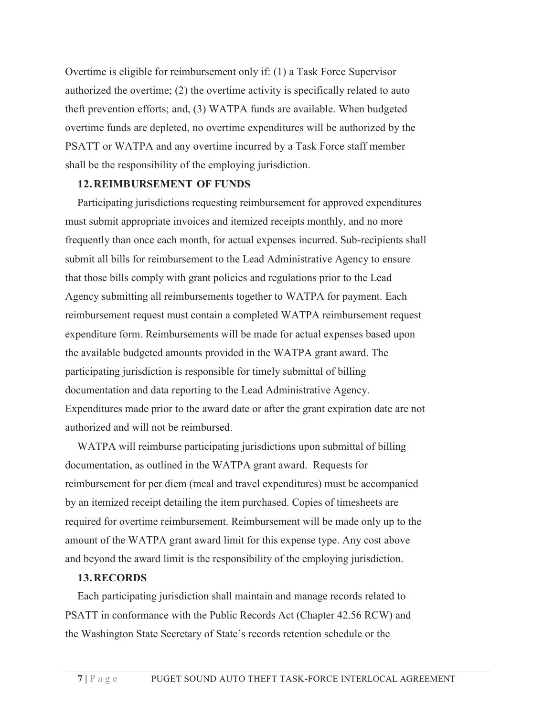Overtime is eligible for reimbursement only if: (1) a Task Force Supervisor authorized the overtime; (2) the overtime activity is specifically related to auto theft prevention efforts; and, (3) WATPA funds are available. When budgeted overtime funds are depleted, no overtime expenditures will be authorized by the PSATT or WATPA and any overtime incurred by a Task Force staff member shall be the responsibility of the employing jurisdiction.

## **12.REIMB URSEMENT OF FUNDS**

Participating jurisdictions requesting reimbursement for approved expenditures must submit appropriate invoices and itemized receipts monthly, and no more frequently than once each month, for actual expenses incurred. Sub-recipients shall submit all bills for reimbursement to the Lead Administrative Agency to ensure that those bills comply with grant policies and regulations prior to the Lead Agency submitting all reimbursements together to WATPA for payment. Each reimbursement request must contain a completed WATPA reimbursement request expenditure form. Reimbursements will be made for actual expenses based upon the available budgeted amounts provided in the WATPA grant award. The participating jurisdiction is responsible for timely submittal of billing documentation and data reporting to the Lead Administrative Agency. Expenditures made prior to the award date or after the grant expiration date are not authorized and will not be reimbursed.

WATPA will reimburse participating jurisdictions upon submittal of billing documentation, as outlined in the WATPA grant award. Requests for reimbursement for per diem (meal and travel expenditures) must be accompanied by an itemized receipt detailing the item purchased. Copies of timesheets are required for overtime reimbursement. Reimbursement will be made only up to the amount of the WATPA grant award limit for this expense type. Any cost above and beyond the award limit is the responsibility of the employing jurisdiction.

#### **13.RECORDS**

Each participating jurisdiction shall maintain and manage records related to PSATT in conformance with the Public Records Act (Chapter 42.56 RCW) and the Washington State Secretary of State's records retention schedule or the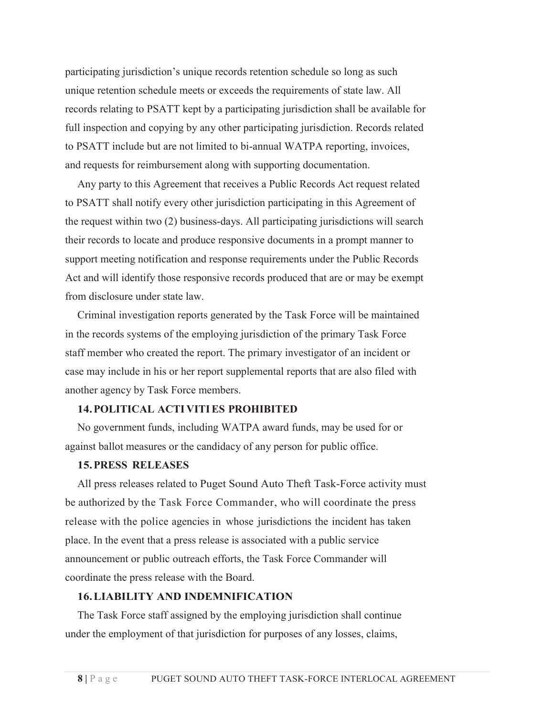participating jurisdiction's unique records retention schedule so long as such unique retention schedule meets or exceeds the requirements of state law. All records relating to PSATT kept by a participating jurisdiction shall be available for full inspection and copying by any other participating jurisdiction. Records related to PSATT include but are not limited to bi-annual WATPA reporting, invoices, and requests for reimbursement along with supporting documentation.

Any party to this Agreement that receives a Public Records Act request related to PSATT shall notify every other jurisdiction participating in this Agreement of the request within two (2) business-days. All participating jurisdictions will search their records to locate and produce responsive documents in a prompt manner to support meeting notification and response requirements under the Public Records Act and will identify those responsive records produced that are or may be exempt from disclosure under state law.

Criminal investigation reports generated by the Task Force will be maintained in the records systems of the employing jurisdiction of the primary Task Force staff member who created the report. The primary investigator of an incident or case may include in his or her report supplemental reports that are also filed with another agency by Task Force members.

## **14.POLITICAL ACTI VITI ES PROHIBITED**

No government funds, including WATPA award funds, may be used for or against ballot measures or the candidacy of any person for public office.

# **15.PRESS RELEASES**

All press releases related to Puget Sound Auto Theft Task-Force activity must be authorized by the Task Force Commander, who will coordinate the press release with the police agencies in whose jurisdictions the incident has taken place. In the event that a press release is associated with a public service announcement or public outreach efforts, the Task Force Commander will coordinate the press release with the Board.

#### **16.LIABILITY AND INDEMNIFICATION**

The Task Force staff assigned by the employing jurisdiction shall continue under the employment of that jurisdiction for purposes of any losses, claims,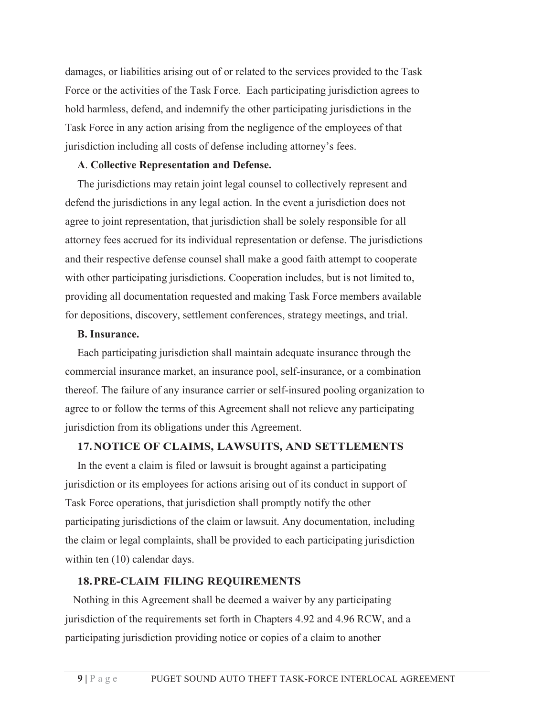damages, or liabilities arising out of or related to the services provided to the Task Force or the activities of the Task Force. Each participating jurisdiction agrees to hold harmless, defend, and indemnify the other participating jurisdictions in the Task Force in any action arising from the negligence of the employees of that jurisdiction including all costs of defense including attorney's fees.

## **A**. **Collective Representation and Defense.**

The jurisdictions may retain joint legal counsel to collectively represent and defend the jurisdictions in any legal action. In the event a jurisdiction does not agree to joint representation, that jurisdiction shall be solely responsible for all attorney fees accrued for its individual representation or defense. The jurisdictions and their respective defense counsel shall make a good faith attempt to cooperate with other participating jurisdictions. Cooperation includes, but is not limited to, providing all documentation requested and making Task Force members available for depositions, discovery, settlement conferences, strategy meetings, and trial.

## **B. Insurance.**

Each participating jurisdiction shall maintain adequate insurance through the commercial insurance market, an insurance pool, self-insurance, or a combination thereof. The failure of any insurance carrier or self-insured pooling organization to agree to or follow the terms of this Agreement shall not relieve any participating jurisdiction from its obligations under this Agreement.

### **17.NOTICE OF CLAIMS, LAWSUITS, AND SETTLEMENTS**

In the event a claim is filed or lawsuit is brought against a participating jurisdiction or its employees for actions arising out of its conduct in support of Task Force operations, that jurisdiction shall promptly notify the other participating jurisdictions of the claim or lawsuit. Any documentation, including the claim or legal complaints, shall be provided to each participating jurisdiction within ten  $(10)$  calendar days.

### **18.PRE-CLAIM FILING REQUIREMENTS**

Nothing in this Agreement shall be deemed a waiver by any participating jurisdiction of the requirements set forth in Chapters 4.92 and 4.96 RCW, and a participating jurisdiction providing notice or copies of a claim to another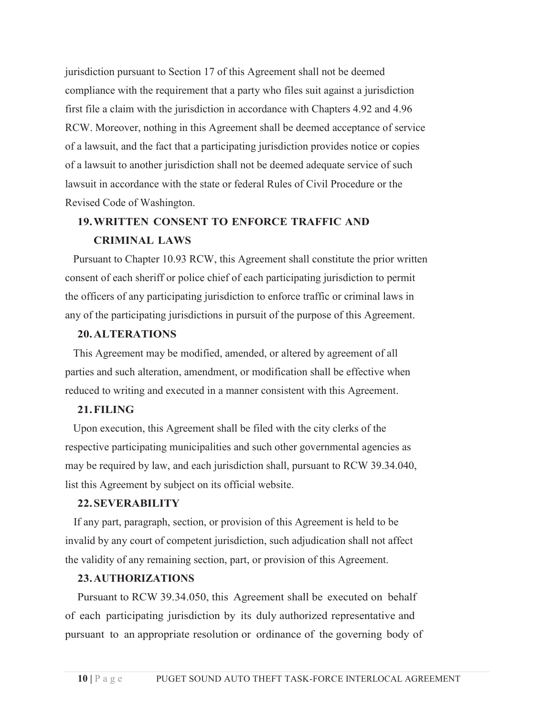jurisdiction pursuant to Section 17 of this Agreement shall not be deemed compliance with the requirement that a party who files suit against a jurisdiction first file a claim with the jurisdiction in accordance with Chapters 4.92 and 4.96 RCW. Moreover, nothing in this Agreement shall be deemed acceptance of service of a lawsuit, and the fact that a participating jurisdiction provides notice or copies of a lawsuit to another jurisdiction shall not be deemed adequate service of such lawsuit in accordance with the state or federal Rules of Civil Procedure or the Revised Code of Washington.

# **19.WRITTEN CONSENT TO ENFORCE TRAFFIC AND CRIMINAL LAWS**

Pursuant to Chapter 10.93 RCW, this Agreement shall constitute the prior written consent of each sheriff or police chief of each participating jurisdiction to permit the officers of any participating jurisdiction to enforce traffic or criminal laws in any of the participating jurisdictions in pursuit of the purpose of this Agreement.

# **20.ALTERATIONS**

This Agreement may be modified, amended, or altered by agreement of all parties and such alteration, amendment, or modification shall be effective when reduced to writing and executed in a manner consistent with this Agreement.

# **21.FILING**

Upon execution, this Agreement shall be filed with the city clerks of the respective participating municipalities and such other governmental agencies as may be required by law, and each jurisdiction shall, pursuant to RCW 39.34.040, list this Agreement by subject on its official website.

## **22.SEVERABILITY**

If any part, paragraph, section, or provision of this Agreement is held to be invalid by any court of competent jurisdiction, such adjudication shall not affect the validity of any remaining section, part, or provision of this Agreement.

## **23.AUTHORIZATIONS**

Pursuant to RCW 39.34.050, this Agreement shall be executed on behalf of each participating jurisdiction by its duly authorized representative and pursuant to an appropriate resolution or ordinance of the governing body of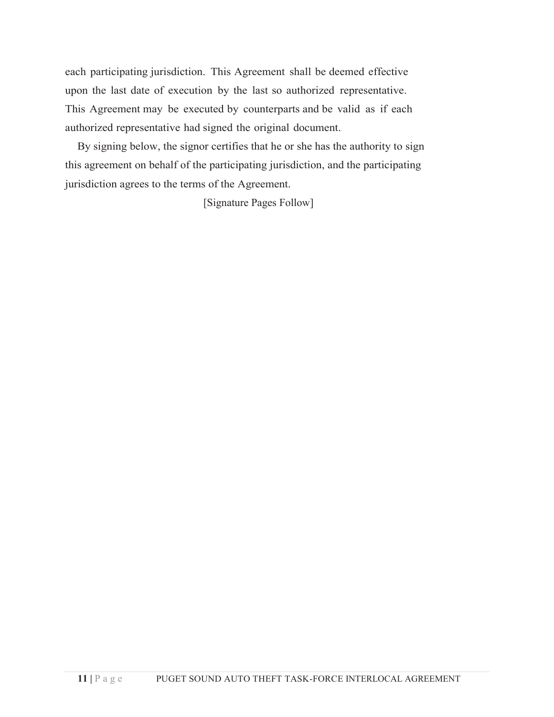each participating jurisdiction. This Agreement shall be deemed effective upon the last date of execution by the last so authorized representative. This Agreement may be executed by counterparts and be valid as if each authorized representative had signed the original document.

By signing below, the signor certifies that he or she has the authority to sign this agreement on behalf of the participating jurisdiction, and the participating jurisdiction agrees to the terms of the Agreement.

[Signature Pages Follow]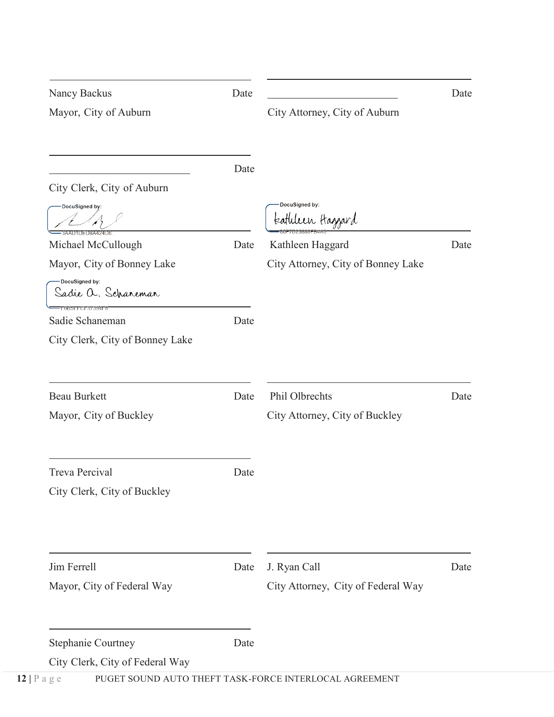| Nancy Backus                             | Date |                                    | Date |
|------------------------------------------|------|------------------------------------|------|
| Mayor, City of Auburn                    |      | City Attorney, City of Auburn      |      |
|                                          | Date |                                    |      |
| City Clerk, City of Auburn               |      |                                    |      |
| DocuSigned by:<br><b>8AADIDED8A424D6</b> |      | DocuSigned by:<br>tatlılın Haggard |      |
| Michael McCullough                       | Date | Kathleen Haggard                   | Date |
| Mayor, City of Bonney Lake               |      | City Attorney, City of Bonney Lake |      |
| DocuSigned by:<br>Sadie a. Scharemar     |      |                                    |      |
| FE0BSEFCF37394FS<br>Sadie Schaneman      | Date |                                    |      |
| City Clerk, City of Bonney Lake          |      |                                    |      |
| <b>Beau Burkett</b>                      | Date | Phil Olbrechts                     | Date |
| Mayor, City of Buckley                   |      | City Attorney, City of Buckley     |      |
| <b>Treva Percival</b>                    | Date |                                    |      |
| City Clerk, City of Buckley              |      |                                    |      |
|                                          |      |                                    |      |
| Jim Ferrell                              | Date | J. Ryan Call                       | Date |
| Mayor, City of Federal Way               |      | City Attorney, City of Federal Way |      |
| <b>Stephanie Courtney</b>                | Date |                                    |      |
| City Clerk, City of Federal Way          |      |                                    |      |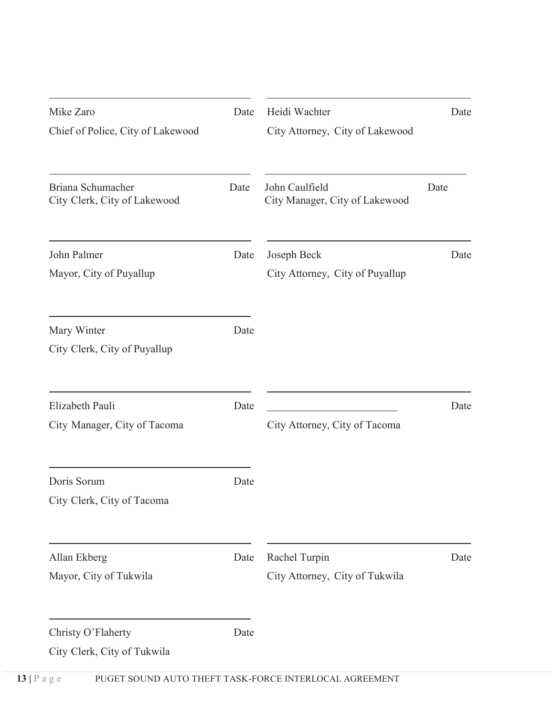| Mike Zaro<br>Chief of Police, City of Lakewood    | Date | Heidi Wachter<br>City Attorney, City of Lakewood | Date |
|---------------------------------------------------|------|--------------------------------------------------|------|
| Briana Schumacher<br>City Clerk, City of Lakewood | Date | John Caulfield<br>City Manager, City of Lakewood | Date |
| John Palmer<br>Mayor, City of Puyallup            | Date | Joseph Beck<br>City Attorney, City of Puyallup   | Date |
| Mary Winter<br>City Clerk, City of Puyallup       | Date |                                                  |      |
| Elizabeth Pauli<br>City Manager, City of Tacoma   | Date | City Attorney, City of Tacoma                    | Date |
| Doris Sorum<br>City Clerk, City of Tacoma         | Date |                                                  |      |
| Allan Ekberg<br>Mayor, City of Tukwila            | Date | Rachel Turpin<br>City Attorney, City of Tukwila  | Date |
| Christy O'Flaherty<br>City Clerk, City of Tukwila | Date |                                                  |      |